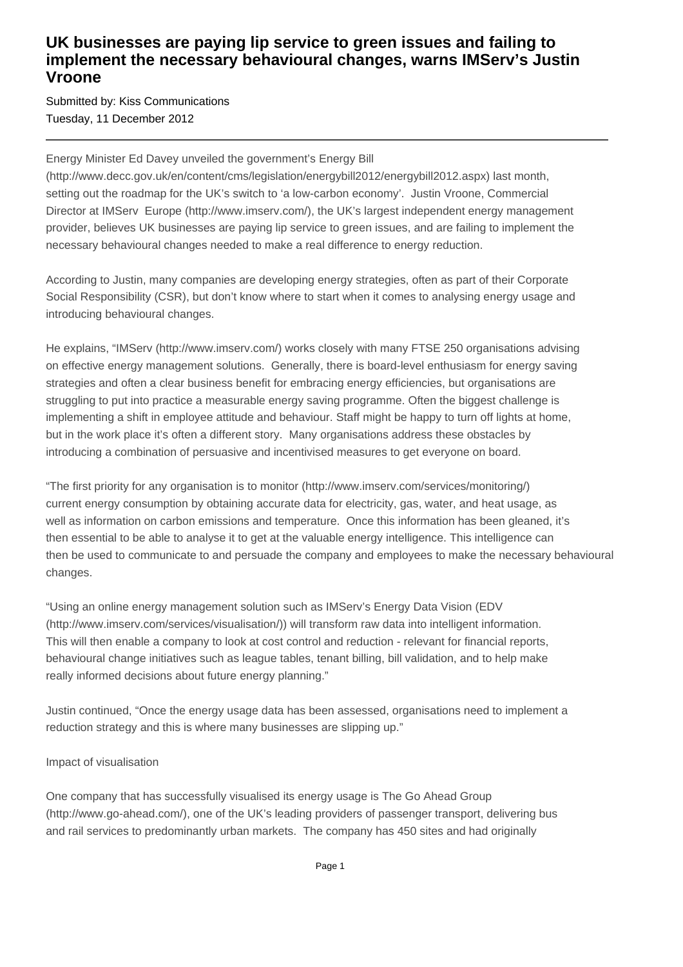## **UK businesses are paying lip service to green issues and failing to implement the necessary behavioural changes, warns IMServ's Justin Vroone**

Submitted by: Kiss Communications Tuesday, 11 December 2012

Energy Minister Ed Davey unveiled the government's Energy Bill

(http://www.decc.gov.uk/en/content/cms/legislation/energybill2012/energybill2012.aspx) last month, setting out the roadmap for the UK's switch to 'a low-carbon economy'. Justin Vroone, Commercial Director at IMServ Europe (http://www.imserv.com/), the UK's largest independent energy management provider, believes UK businesses are paying lip service to green issues, and are failing to implement the necessary behavioural changes needed to make a real difference to energy reduction.

According to Justin, many companies are developing energy strategies, often as part of their Corporate Social Responsibility (CSR), but don't know where to start when it comes to analysing energy usage and introducing behavioural changes.

He explains, "IMServ (http://www.imserv.com/) works closely with many FTSE 250 organisations advising on effective energy management solutions. Generally, there is board-level enthusiasm for energy saving strategies and often a clear business benefit for embracing energy efficiencies, but organisations are struggling to put into practice a measurable energy saving programme. Often the biggest challenge is implementing a shift in employee attitude and behaviour. Staff might be happy to turn off lights at home, but in the work place it's often a different story. Many organisations address these obstacles by introducing a combination of persuasive and incentivised measures to get everyone on board.

"The first priority for any organisation is to monitor (http://www.imserv.com/services/monitoring/) current energy consumption by obtaining accurate data for electricity, gas, water, and heat usage, as well as information on carbon emissions and temperature. Once this information has been gleaned, it's then essential to be able to analyse it to get at the valuable energy intelligence. This intelligence can then be used to communicate to and persuade the company and employees to make the necessary behavioural changes.

"Using an online energy management solution such as IMServ's Energy Data Vision (EDV (http://www.imserv.com/services/visualisation/)) will transform raw data into intelligent information. This will then enable a company to look at cost control and reduction - relevant for financial reports, behavioural change initiatives such as league tables, tenant billing, bill validation, and to help make really informed decisions about future energy planning."

Justin continued, "Once the energy usage data has been assessed, organisations need to implement a reduction strategy and this is where many businesses are slipping up."

#### Impact of visualisation

One company that has successfully visualised its energy usage is The Go Ahead Group (http://www.go-ahead.com/), one of the UK's leading providers of passenger transport, delivering bus and rail services to predominantly urban markets. The company has 450 sites and had originally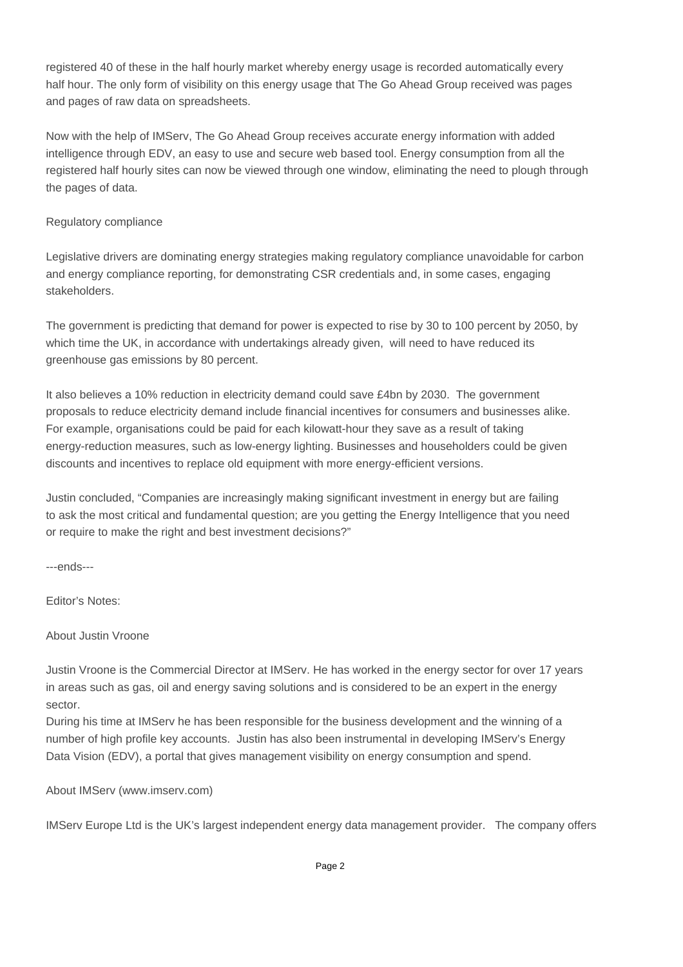registered 40 of these in the half hourly market whereby energy usage is recorded automatically every half hour. The only form of visibility on this energy usage that The Go Ahead Group received was pages and pages of raw data on spreadsheets.

Now with the help of IMServ, The Go Ahead Group receives accurate energy information with added intelligence through EDV, an easy to use and secure web based tool. Energy consumption from all the registered half hourly sites can now be viewed through one window, eliminating the need to plough through the pages of data.

#### Regulatory compliance

Legislative drivers are dominating energy strategies making regulatory compliance unavoidable for carbon and energy compliance reporting, for demonstrating CSR credentials and, in some cases, engaging stakeholders.

The government is predicting that demand for power is expected to rise by 30 to 100 percent by 2050, by which time the UK, in accordance with undertakings already given, will need to have reduced its greenhouse gas emissions by 80 percent.

It also believes a 10% reduction in electricity demand could save £4bn by 2030. The government proposals to reduce electricity demand include financial incentives for consumers and businesses alike. For example, organisations could be paid for each kilowatt-hour they save as a result of taking energy-reduction measures, such as low-energy lighting. Businesses and householders could be given discounts and incentives to replace old equipment with more energy-efficient versions.

Justin concluded, "Companies are increasingly making significant investment in energy but are failing to ask the most critical and fundamental question; are you getting the Energy Intelligence that you need or require to make the right and best investment decisions?"

---ends---

Editor's Notes:

### About Justin Vroone

Justin Vroone is the Commercial Director at IMServ. He has worked in the energy sector for over 17 years in areas such as gas, oil and energy saving solutions and is considered to be an expert in the energy sector.

During his time at IMServ he has been responsible for the business development and the winning of a number of high profile key accounts. Justin has also been instrumental in developing IMServ's Energy Data Vision (EDV), a portal that gives management visibility on energy consumption and spend.

About IMServ (www.imserv.com)

IMServ Europe Ltd is the UK's largest independent energy data management provider. The company offers